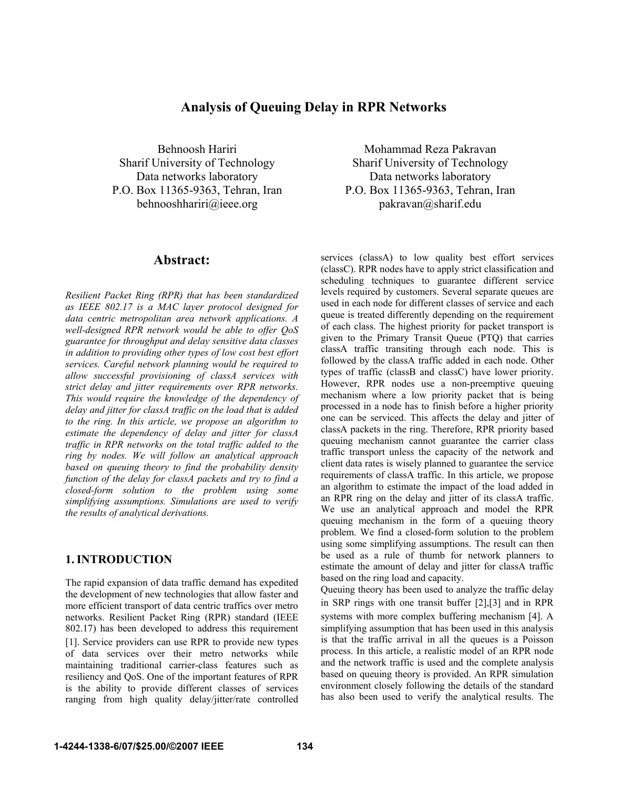# **Analysis of Queuing Delay in RPR Networks**

Behnoosh Hariri Sharif University of Technology Data networks laboratory P.O. Box 11365-9363, Tehran, Iran behnooshhariri@ieee.org

#### **Abstract:**

*Resilient Packet Ring (RPR) that has been standardized as IEEE 802.17 is a MAC layer protocol designed for data centric metropolitan area network applications. A well-designed RPR network would be able to offer QoS guarantee for throughput and delay sensitive data classes in addition to providing other types of low cost best effort services. Careful network planning would be required to allow successful provisioning of classA services with strict delay and jitter requirements over RPR networks. This would require the knowledge of the dependency of delay and jitter for classA traffic on the load that is added to the ring. In this article, we propose an algorithm to estimate the dependency of delay and jitter for classA traffic in RPR networks on the total traffic added to the ring by nodes. We will follow an analytical approach based on queuing theory to find the probability density function of the delay for classA packets and try to find a closed-form solution to the problem using some simplifying assumptions. Simulations are used to verify the results of analytical derivations.* 

### **1. INTRODUCTION**

The rapid expansion of data traffic demand has expedited the development of new technologies that allow faster and more efficient transport of data centric traffics over metro networks. Resilient Packet Ring (RPR) standard (IEEE 802.17) has been developed to address this requirement [1]. Service providers can use RPR to provide new types of data services over their metro networks while maintaining traditional carrier-class features such as resiliency and QoS. One of the important features of RPR is the ability to provide different classes of services ranging from high quality delay/jitter/rate controlled

Mohammad Reza Pakravan Sharif University of Technology Data networks laboratory P.O. Box 11365-9363, Tehran, Iran pakravan@sharif.edu

services (classA) to low quality best effort services (classC). RPR nodes have to apply strict classification and scheduling techniques to guarantee different service levels required by customers. Several separate queues are used in each node for different classes of service and each queue is treated differently depending on the requirement of each class. The highest priority for packet transport is given to the Primary Transit Queue (PTQ) that carries classA traffic transiting through each node. This is followed by the classA traffic added in each node. Other types of traffic (classB and classC) have lower priority. However, RPR nodes use a non-preemptive queuing mechanism where a low priority packet that is being processed in a node has to finish before a higher priority one can be serviced. This affects the delay and jitter of classA packets in the ring. Therefore, RPR priority based queuing mechanism cannot guarantee the carrier class traffic transport unless the capacity of the network and client data rates is wisely planned to guarantee the service requirements of classA traffic. In this article, we propose an algorithm to estimate the impact of the load added in an RPR ring on the delay and jitter of its classA traffic. We use an analytical approach and model the RPR queuing mechanism in the form of a queuing theory problem. We find a closed-form solution to the problem using some simplifying assumptions. The result can then be used as a rule of thumb for network planners to estimate the amount of delay and jitter for classA traffic based on the ring load and capacity.

Queuing theory has been used to analyze the traffic delay in SRP rings with one transit buffer [2],[3] and in RPR systems with more complex buffering mechanism [4]. A simplifying assumption that has been used in this analysis is that the traffic arrival in all the queues is a Poisson process. In this article, a realistic model of an RPR node and the network traffic is used and the complete analysis based on queuing theory is provided. An RPR simulation environment closely following the details of the standard has also been used to verify the analytical results. The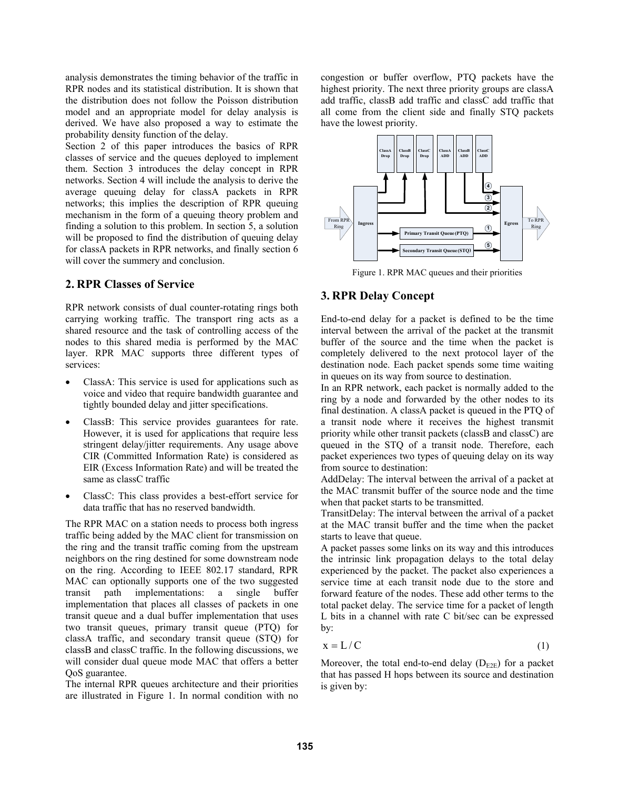analysis demonstrates the timing behavior of the traffic in RPR nodes and its statistical distribution. It is shown that the distribution does not follow the Poisson distribution model and an appropriate model for delay analysis is derived. We have also proposed a way to estimate the probability density function of the delay.

Section 2 of this paper introduces the basics of RPR classes of service and the queues deployed to implement them. Section 3 introduces the delay concept in RPR networks. Section 4 will include the analysis to derive the average queuing delay for classA packets in RPR networks; this implies the description of RPR queuing mechanism in the form of a queuing theory problem and finding a solution to this problem. In section 5, a solution will be proposed to find the distribution of queuing delay for classA packets in RPR networks, and finally section 6 will cover the summery and conclusion.

### **2. RPR Classes of Service**

RPR network consists of dual counter-rotating rings both carrying working traffic. The transport ring acts as a shared resource and the task of controlling access of the nodes to this shared media is performed by the MAC layer. RPR MAC supports three different types of services:

- ClassA: This service is used for applications such as voice and video that require bandwidth guarantee and tightly bounded delay and jitter specifications.
- ClassB: This service provides guarantees for rate. However, it is used for applications that require less stringent delay/jitter requirements. Any usage above CIR (Committed Information Rate) is considered as EIR (Excess Information Rate) and will be treated the same as classC traffic
- ClassC: This class provides a best-effort service for data traffic that has no reserved bandwidth.

The RPR MAC on a station needs to process both ingress traffic being added by the MAC client for transmission on the ring and the transit traffic coming from the upstream neighbors on the ring destined for some downstream node on the ring. According to IEEE 802.17 standard, RPR MAC can optionally supports one of the two suggested transit path implementations: a single buffer implementation that places all classes of packets in one transit queue and a dual buffer implementation that uses two transit queues, primary transit queue (PTQ) for classA traffic, and secondary transit queue (STQ) for classB and classC traffic. In the following discussions, we will consider dual queue mode MAC that offers a better QoS guarantee.

The internal RPR queues architecture and their priorities are illustrated in Figure 1. In normal condition with no congestion or buffer overflow, PTQ packets have the highest priority. The next three priority groups are classA add traffic, classB add traffic and classC add traffic that all come from the client side and finally STQ packets have the lowest priority.



Figure 1. RPR MAC queues and their priorities

## **3. RPR Delay Concept**

End-to-end delay for a packet is defined to be the time interval between the arrival of the packet at the transmit buffer of the source and the time when the packet is completely delivered to the next protocol layer of the destination node. Each packet spends some time waiting in queues on its way from source to destination.

In an RPR network, each packet is normally added to the ring by a node and forwarded by the other nodes to its final destination. A classA packet is queued in the PTQ of a transit node where it receives the highest transmit priority while other transit packets (classB and classC) are queued in the STQ of a transit node. Therefore, each packet experiences two types of queuing delay on its way from source to destination:

AddDelay: The interval between the arrival of a packet at the MAC transmit buffer of the source node and the time when that packet starts to be transmitted.

TransitDelay: The interval between the arrival of a packet at the MAC transit buffer and the time when the packet starts to leave that queue.

A packet passes some links on its way and this introduces the intrinsic link propagation delays to the total delay experienced by the packet. The packet also experiences a service time at each transit node due to the store and forward feature of the nodes. These add other terms to the total packet delay. The service time for a packet of length L bits in a channel with rate C bit/sec can be expressed by:

$$
x = L/C
$$
 (1)

Moreover, the total end-to-end delay  $(D_{E2E})$  for a packet that has passed H hops between its source and destination is given by: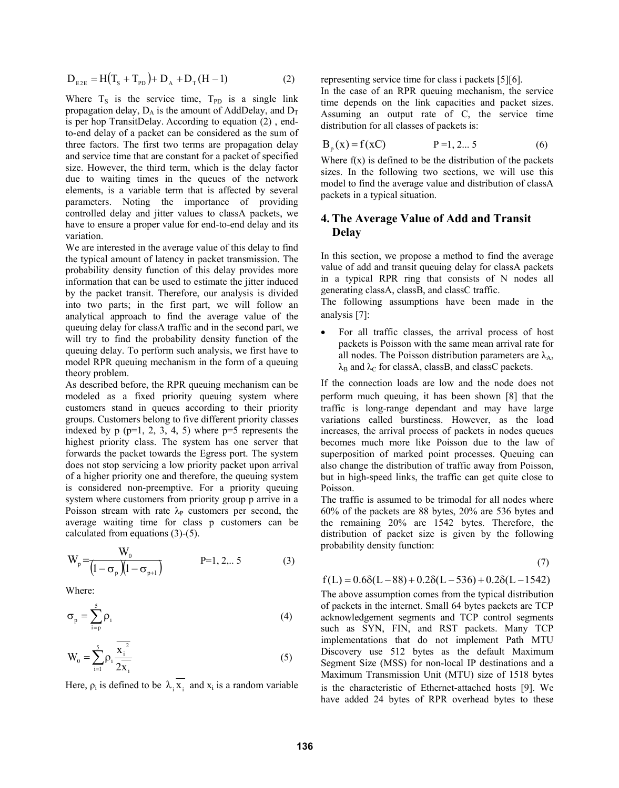$$
D_{E2E} = H(T_s + T_{p}) + D_A + D_T(H - 1)
$$
 (2)

Where  $T<sub>S</sub>$  is the service time,  $T<sub>PD</sub>$  is a single link propagation delay,  $D_A$  is the amount of AddDelay, and  $D_T$ is per hop TransitDelay. According to equation (2) , endto-end delay of a packet can be considered as the sum of three factors. The first two terms are propagation delay and service time that are constant for a packet of specified size. However, the third term, which is the delay factor due to waiting times in the queues of the network elements, is a variable term that is affected by several parameters. Noting the importance of providing controlled delay and jitter values to classA packets, we have to ensure a proper value for end-to-end delay and its variation.

We are interested in the average value of this delay to find the typical amount of latency in packet transmission. The probability density function of this delay provides more information that can be used to estimate the jitter induced by the packet transit. Therefore, our analysis is divided into two parts; in the first part, we will follow an analytical approach to find the average value of the queuing delay for classA traffic and in the second part, we will try to find the probability density function of the queuing delay. To perform such analysis, we first have to model RPR queuing mechanism in the form of a queuing theory problem.

As described before, the RPR queuing mechanism can be modeled as a fixed priority queuing system where customers stand in queues according to their priority groups. Customers belong to five different priority classes indexed by  $p$  ( $p=1, 2, 3, 4, 5$ ) where  $p=5$  represents the highest priority class. The system has one server that forwards the packet towards the Egress port. The system does not stop servicing a low priority packet upon arrival of a higher priority one and therefore, the queuing system is considered non-preemptive. For a priority queuing system where customers from priority group p arrive in a Poisson stream with rate  $\lambda_P$  customers per second, the average waiting time for class p customers can be calculated from equations (3)-(5).

$$
W_{p} = \frac{W_{0}}{(1 - \sigma_{p})(1 - \sigma_{p+1})}
$$
  $P=1, 2,.. 5$  (3)

Where:

$$
\sigma_{\mathbf{p}} = \sum_{i=\mathbf{p}}^{5} \rho_{i} \tag{4}
$$

$$
W_0 = \sum_{i=1}^{5} \rho_i \frac{\overline{x_i}^2}{2\overline{x_i}}
$$
 (5)

Here,  $\rho_i$  is defined to be  $\lambda_i \overline{X_i}$  and  $x_i$  is a random variable

representing service time for class i packets [5][6].

In the case of an RPR queuing mechanism, the service time depends on the link capacities and packet sizes. Assuming an output rate of C, the service time distribution for all classes of packets is:

$$
B_p(x) = f(xC) \qquad P = 1, 2... 5 \qquad (6)
$$

Where  $f(x)$  is defined to be the distribution of the packets sizes. In the following two sections, we will use this model to find the average value and distribution of classA packets in a typical situation.

### **4. The Average Value of Add and Transit Delay**

In this section, we propose a method to find the average value of add and transit queuing delay for classA packets in a typical RPR ring that consists of N nodes all generating classA, classB, and classC traffic.

The following assumptions have been made in the analysis [7]:

• For all traffic classes, the arrival process of host packets is Poisson with the same mean arrival rate for all nodes. The Poisson distribution parameters are  $\lambda_A$ ,  $\lambda_B$  and  $\lambda_C$  for classA, classB, and classC packets.

If the connection loads are low and the node does not perform much queuing, it has been shown [8] that the traffic is long-range dependant and may have large variations called burstiness. However, as the load increases, the arrival process of packets in nodes queues becomes much more like Poisson due to the law of superposition of marked point processes. Queuing can also change the distribution of traffic away from Poisson, but in high-speed links, the traffic can get quite close to Poisson.

The traffic is assumed to be trimodal for all nodes where 60% of the packets are 88 bytes, 20% are 536 bytes and the remaining 20% are 1542 bytes. Therefore, the distribution of packet size is given by the following probability density function:

$$
(7)
$$

$$
f(L) = 0.6\delta(L - 88) + 0.2\delta(L - 536) + 0.2\delta(L - 1542)
$$

The above assumption comes from the typical distribution of packets in the internet. Small 64 bytes packets are TCP acknowledgement segments and TCP control segments such as SYN, FIN, and RST packets. Many TCP implementations that do not implement Path MTU Discovery use 512 bytes as the default Maximum Segment Size (MSS) for non-local IP destinations and a Maximum Transmission Unit (MTU) size of 1518 bytes is the characteristic of Ethernet-attached hosts [9]. We have added 24 bytes of RPR overhead bytes to these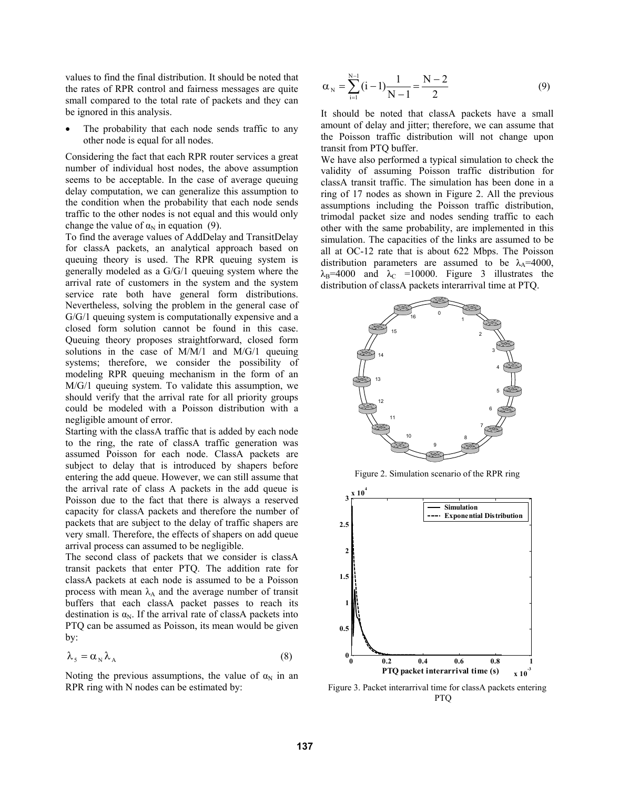values to find the final distribution. It should be noted that the rates of RPR control and fairness messages are quite small compared to the total rate of packets and they can be ignored in this analysis.

The probability that each node sends traffic to any other node is equal for all nodes.

Considering the fact that each RPR router services a great number of individual host nodes, the above assumption seems to be acceptable. In the case of average queuing delay computation, we can generalize this assumption to the condition when the probability that each node sends traffic to the other nodes is not equal and this would only change the value of  $\alpha_N$  in equation (9).

To find the average values of AddDelay and TransitDelay for classA packets, an analytical approach based on queuing theory is used. The RPR queuing system is generally modeled as a G/G/1 queuing system where the arrival rate of customers in the system and the system service rate both have general form distributions. Nevertheless, solving the problem in the general case of G/G/1 queuing system is computationally expensive and a closed form solution cannot be found in this case. Queuing theory proposes straightforward, closed form solutions in the case of M/M/1 and M/G/1 queuing systems; therefore, we consider the possibility of modeling RPR queuing mechanism in the form of an M/G/1 queuing system. To validate this assumption, we should verify that the arrival rate for all priority groups could be modeled with a Poisson distribution with a negligible amount of error.

Starting with the classA traffic that is added by each node to the ring, the rate of classA traffic generation was assumed Poisson for each node. ClassA packets are subject to delay that is introduced by shapers before entering the add queue. However, we can still assume that the arrival rate of class A packets in the add queue is Poisson due to the fact that there is always a reserved capacity for classA packets and therefore the number of packets that are subject to the delay of traffic shapers are very small. Therefore, the effects of shapers on add queue arrival process can assumed to be negligible.

The second class of packets that we consider is classA transit packets that enter PTQ. The addition rate for classA packets at each node is assumed to be a Poisson process with mean  $\lambda_A$  and the average number of transit buffers that each classA packet passes to reach its destination is  $\alpha_N$ . If the arrival rate of classA packets into PTQ can be assumed as Poisson, its mean would be given by:

$$
\lambda_{5} = \alpha_{N} \lambda_{A} \tag{8}
$$

Noting the previous assumptions, the value of  $\alpha_N$  in an RPR ring with N nodes can be estimated by:

$$
\alpha_{N} = \sum_{i=1}^{N-1} (i-1)\frac{1}{N-1} = \frac{N-2}{2}
$$
 (9)

It should be noted that classA packets have a small amount of delay and jitter; therefore, we can assume that the Poisson traffic distribution will not change upon transit from PTQ buffer.

We have also performed a typical simulation to check the validity of assuming Poisson traffic distribution for classA transit traffic. The simulation has been done in a ring of 17 nodes as shown in Figure 2. All the previous assumptions including the Poisson traffic distribution, trimodal packet size and nodes sending traffic to each other with the same probability, are implemented in this simulation. The capacities of the links are assumed to be all at OC-12 rate that is about 622 Mbps. The Poisson distribution parameters are assumed to be  $\lambda_A$ =4000,  $\lambda_B$ =4000 and  $\lambda_C$  =10000. Figure 3 illustrates the distribution of classA packets interarrival time at PTQ.



Figure 2. Simulation scenario of the RPR ring



Figure 3. Packet interarrival time for classA packets entering PTQ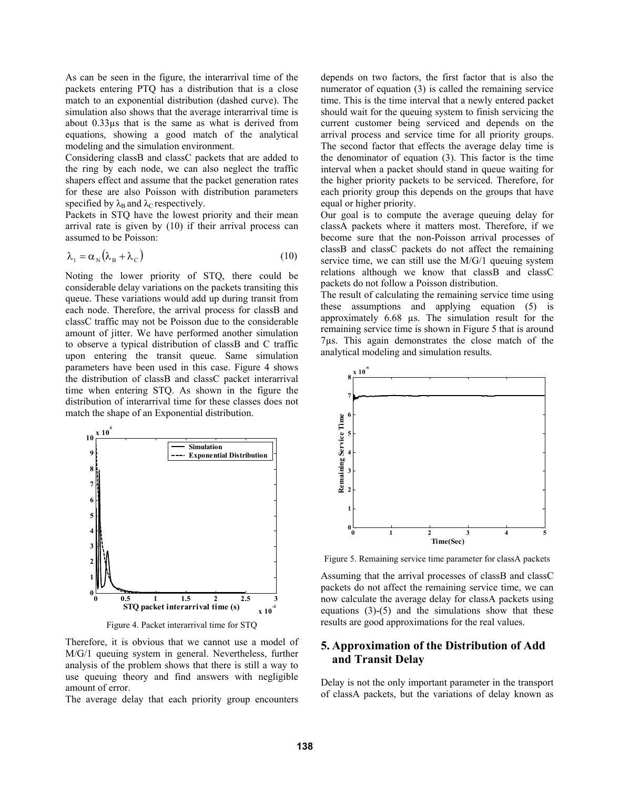As can be seen in the figure, the interarrival time of the packets entering PTQ has a distribution that is a close match to an exponential distribution (dashed curve). The simulation also shows that the average interarrival time is about 0.33µs that is the same as what is derived from equations, showing a good match of the analytical modeling and the simulation environment.

Considering classB and classC packets that are added to the ring by each node, we can also neglect the traffic shapers effect and assume that the packet generation rates for these are also Poisson with distribution parameters specified by  $\lambda_B$  and  $\lambda_C$  respectively.

Packets in STQ have the lowest priority and their mean arrival rate is given by (10) if their arrival process can assumed to be Poisson:

$$
\lambda_1 = \alpha_N (\lambda_B + \lambda_C) \tag{10}
$$

Noting the lower priority of STQ, there could be considerable delay variations on the packets transiting this queue. These variations would add up during transit from each node. Therefore, the arrival process for classB and classC traffic may not be Poisson due to the considerable amount of jitter. We have performed another simulation to observe a typical distribution of classB and C traffic upon entering the transit queue. Same simulation parameters have been used in this case. Figure 4 shows the distribution of classB and classC packet interarrival time when entering STQ. As shown in the figure the distribution of interarrival time for these classes does not match the shape of an Exponential distribution.



Figure 4. Packet interarrival time for STQ

Therefore, it is obvious that we cannot use a model of M/G/1 queuing system in general. Nevertheless, further analysis of the problem shows that there is still a way to use queuing theory and find answers with negligible amount of error.

The average delay that each priority group encounters

depends on two factors, the first factor that is also the numerator of equation (3) is called the remaining service time. This is the time interval that a newly entered packet should wait for the queuing system to finish servicing the current customer being serviced and depends on the arrival process and service time for all priority groups. The second factor that effects the average delay time is the denominator of equation (3). This factor is the time interval when a packet should stand in queue waiting for the higher priority packets to be serviced. Therefore, for each priority group this depends on the groups that have equal or higher priority.

Our goal is to compute the average queuing delay for classA packets where it matters most. Therefore, if we become sure that the non-Poisson arrival processes of classB and classC packets do not affect the remaining service time, we can still use the M/G/1 queuing system relations although we know that classB and classC packets do not follow a Poisson distribution.

The result of calculating the remaining service time using these assumptions and applying equation (5) is approximately 6.68 µs. The simulation result for the remaining service time is shown in Figure 5 that is around 7µs. This again demonstrates the close match of the analytical modeling and simulation results.



Figure 5. Remaining service time parameter for classA packets

Assuming that the arrival processes of classB and classC packets do not affect the remaining service time, we can now calculate the average delay for classA packets using equations (3)-(5) and the simulations show that these results are good approximations for the real values.

## **5. Approximation of the Distribution of Add and Transit Delay**

Delay is not the only important parameter in the transport of classA packets, but the variations of delay known as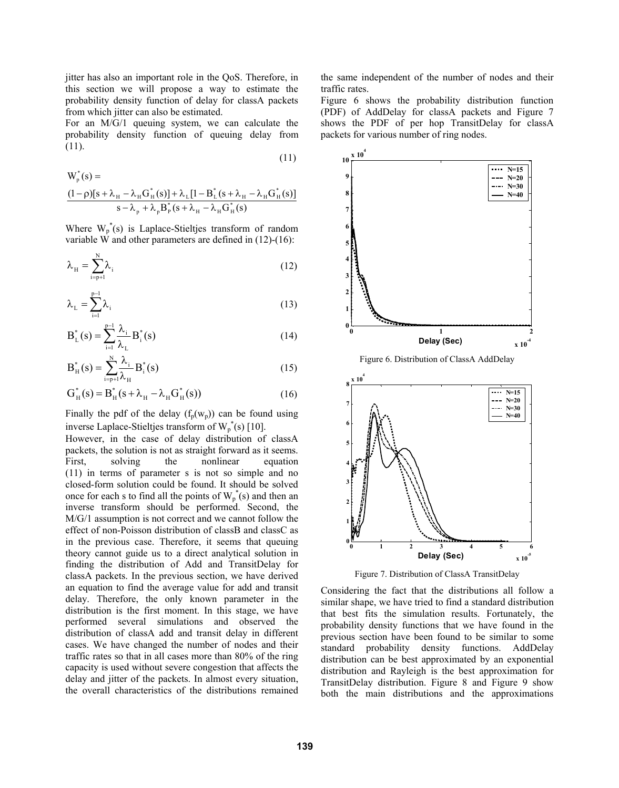jitter has also an important role in the QoS. Therefore, in this section we will propose a way to estimate the probability density function of delay for classA packets from which jitter can also be estimated.

For an M/G/1 queuing system, we can calculate the probability density function of queuing delay from (11).

(11)

$$
W_p^*(s) =
$$
\n
$$
\frac{(1-\rho)[s+\lambda_H - \lambda_H G_H^*(s)] + \lambda_L [1 - B_L^*(s+\lambda_H - \lambda_H G_H^*(s))]}{s-\lambda_p + \lambda_p B_P^*(s+\lambda_H - \lambda_H G_H^*(s))}
$$

Where  $W_p^*(s)$  is Laplace-Stieltjes transform of random variable W and other parameters are defined in (12)-(16):

$$
\lambda_{\rm H} = \sum_{i=p+1}^{N} \lambda_i
$$
 (12)

$$
\lambda_{\rm L} = \sum_{i=1}^{\rm p-1} \lambda_i \tag{13}
$$

$$
B_{L}^{*}(s) = \sum_{i=1}^{p-1} \frac{\lambda_{i}}{\lambda_{L}} B_{i}^{*}(s)
$$
 (14)

$$
B_{H}^{*}(s) = \sum_{i=p+1}^{N} \frac{\lambda_{i}}{\lambda_{H}} B_{i}^{*}(s)
$$
 (15)

$$
G_{H}^{*}(s) = B_{H}^{*}(s + \lambda_{H} - \lambda_{H}G_{H}^{*}(s))
$$
\n(16)

Finally the pdf of the delay  $(f_p(w_p))$  can be found using inverse Laplace-Stieltjes transform of  $W_p^*(s)$  [10].

However, in the case of delay distribution of classA packets, the solution is not as straight forward as it seems. First, solving the nonlinear equation (11) in terms of parameter s is not so simple and no closed-form solution could be found. It should be solved once for each s to find all the points of  $W_p^*(s)$  and then an inverse transform should be performed. Second, the M/G/1 assumption is not correct and we cannot follow the effect of non-Poisson distribution of classB and classC as in the previous case. Therefore, it seems that queuing theory cannot guide us to a direct analytical solution in finding the distribution of Add and TransitDelay for classA packets. In the previous section, we have derived an equation to find the average value for add and transit delay. Therefore, the only known parameter in the distribution is the first moment. In this stage, we have performed several simulations and observed the distribution of classA add and transit delay in different cases. We have changed the number of nodes and their traffic rates so that in all cases more than 80% of the ring capacity is used without severe congestion that affects the delay and jitter of the packets. In almost every situation, the overall characteristics of the distributions remained

the same independent of the number of nodes and their traffic rates.

 packets for various number of ring nodes. Figure 6 shows the probability distribution function (PDF) of AddDelay for classA packets and Figure 7 shows the PDF of per hop TransitDelay for classA



Figure 7. Distribution of ClassA TransitDelay

Considering the fact that the distributions all follow a similar shape, we have tried to find a standard distribution that best fits the simulation results. Fortunately, the probability density functions that we have found in the previous section have been found to be similar to some standard probability density functions. AddDelay distribution can be best approximated by an exponential distribution and Rayleigh is the best approximation for TransitDelay distribution. Figure 8 and Figure 9 show both the main distributions and the approximations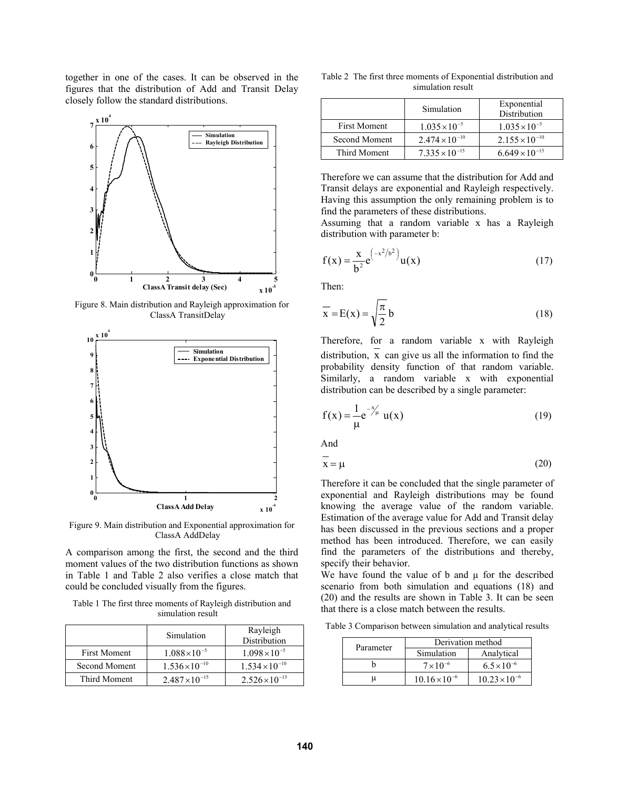together in one of the cases. It can be observed in the figures that the distribution of Add and Transit Delay closely follow the standard distributions.



Figure 8. Main distribution and Rayleigh approximation for ClassA TransitDelay



Figure 9. Main distribution and Exponential approximation for ClassA AddDelay

A comparison among the first, the second and the third moment values of the two distribution functions as shown in Table 1 and Table 2 also verifies a close match that could be concluded visually from the figures.

Table 1 The first three moments of Rayleigh distribution and simulation result

|               | Simulation              | Rayleigh<br>Distribution |
|---------------|-------------------------|--------------------------|
| First Moment  | $1.088\times10^{-5}$    | $1.098 \times 10^{-5}$   |
| Second Moment | $1.536\times10^{-10}$   | $1.534 \times 10^{-10}$  |
| Third Moment  | $2.487 \times 10^{-15}$ | $2.526 \times 10^{-15}$  |

Table 2 The first three moments of Exponential distribution and simulation result

|                     | Simulation              | Exponential<br>Distribution |
|---------------------|-------------------------|-----------------------------|
| <b>First Moment</b> | $1.035 \times 10^{-5}$  | $1.035 \times 10^{-5}$      |
| Second Moment       | $2.474 \times 10^{-10}$ | $2.155 \times 10^{-10}$     |
| Third Moment        | $7.335 \times 10^{-15}$ | $6.649 \times 10^{-15}$     |

Therefore we can assume that the distribution for Add and Transit delays are exponential and Rayleigh respectively. Having this assumption the only remaining problem is to find the parameters of these distributions.

Assuming that a random variable x has a Rayleigh distribution with parameter b:

$$
f(x) = \frac{x}{b^2} e^{(-x^2/b^2)} u(x)
$$
 (17)

Then:

$$
\overline{\mathbf{x}} = \mathbf{E}(\mathbf{x}) = \sqrt{\frac{\pi}{2}} \mathbf{b}
$$
 (18)

Therefore, for a random variable x with Rayleigh distribution, x can give us all the information to find the probability density function of that random variable. Similarly, a random variable x with exponential distribution can be described by a single parameter:

$$
f(x) = \frac{1}{\mu} e^{-\frac{x}{\mu}} u(x)
$$
 (19)

And

$$
x = \mu \tag{20}
$$

Therefore it can be concluded that the single parameter of exponential and Rayleigh distributions may be found knowing the average value of the random variable. Estimation of the average value for Add and Transit delay has been discussed in the previous sections and a proper method has been introduced. Therefore, we can easily find the parameters of the distributions and thereby, specify their behavior.

We have found the value of  $\mathfrak b$  and  $\mathfrak \mu$  for the described scenario from both simulation and equations (18) and (20) and the results are shown in Table 3. It can be seen that there is a close match between the results.

Table 3 Comparison between simulation and analytical results

| Parameter | Derivation method      |                        |
|-----------|------------------------|------------------------|
|           | Simulation             | Analytical             |
|           | $7 \times 10^{-6}$     | $6.5 \times 10^{-6}$   |
| u         | $10.16 \times 10^{-6}$ | $10.23 \times 10^{-6}$ |